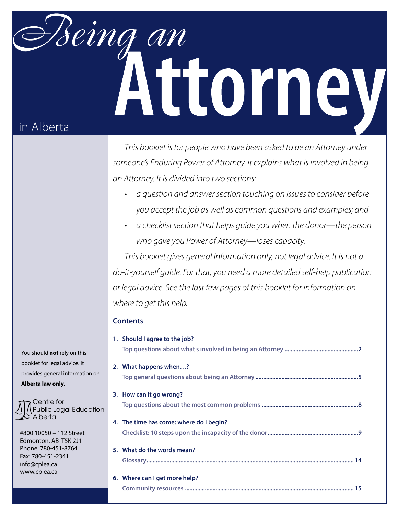# Being an Attorney in Alberta

*This booklet is for people who have been asked to be an Attorney under someone's Enduring Power of Attorney. It explains what is involved in being an Attorney. It is divided into two sections:* 

- a question and answer section touching on issues to consider before *you accept the job as well as common questions and examples; and*
- a checklist section that helps guide you when the donor—the person *who gave you Power of Attorney—loses capacity.*

*This booklet gives general information only, not legal advice. It is not a do-it-yourself guide. For that, you need a more detailed self-help publication or legal advice. See the last few pages of this booklet for information on where to get this help.*

## **Contents**

| 1. Should I agree to the job?           |
|-----------------------------------------|
|                                         |
| 2. What happens when?                   |
|                                         |
| 3. How can it go wrong?                 |
|                                         |
| 4. The time has come: where do I begin? |
|                                         |
| 5. What do the words mean?              |
|                                         |
| 6. Where can I get more help?           |
|                                         |

You should **not** rely on this booklet for legal advice. It provides general information on **Alberta law only**.

Centre for Public Legal Education Alberta

#800 10050 – 112 Street Edmonton, AB T5K 2J1 Phone: 780-451-8764 Fax: 780-451-2341 info@cplea.ca www.cplea.ca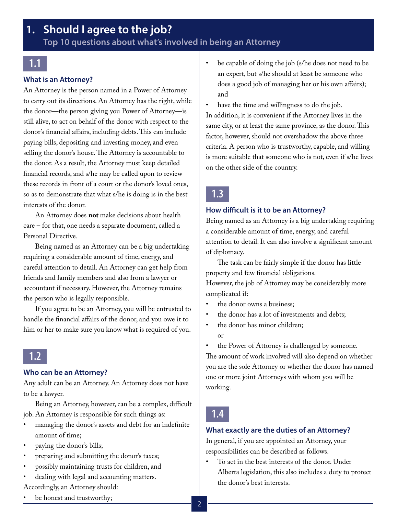# <span id="page-1-0"></span>**1. Should I agree to the job?**

**Top 10 questions about what's involved in being an Attorney** 

# **1.1**

#### **What is an Attorney?**

An Attorney is the person named in a Power of Attorney to carry out its directions. An Attorney has the right, while the donor—the person giving you Power of Attorney—is still alive, to act on behalf of the donor with respect to the donor's financial affairs, including debts. This can include paying bills, depositing and investing money, and even selling the donor's house. The Attorney is accountable to the donor. As a result, the Attorney must keep detailed financial records, and s/he may be called upon to review these records in front of a court or the donor's loved ones, so as to demonstrate that what s/he is doing is in the best interests of the donor.

An Attorney does **not** make decisions about health care – for that, one needs a separate document, called a Personal Directive.

Being named as an Attorney can be a big undertaking requiring a considerable amount of time, energy, and careful attention to detail. An Attorney can get help from friends and family members and also from a lawyer or accountant if necessary. However, the Attorney remains the person who is legally responsible.

If you agree to be an Attorney, you will be entrusted to handle the financial affairs of the donor, and you owe it to him or her to make sure you know what is required of you.

# **1.2**

#### **Who can be an Attorney?**

Any adult can be an Attorney. An Attorney does not have to be a lawyer.

Being an Attorney, however, can be a complex, difficult job. An Attorney is responsible for such things as:

- managing the donor's assets and debt for an indefinite amount of time;
- paying the donor's bills;
- preparing and submitting the donor's taxes;
- possibly maintaining trusts for children, and
- dealing with legal and accounting matters. Accordingly, an Attorney should:
- be honest and trustworthy;

be capable of doing the job (s/he does not need to be an expert, but s/he should at least be someone who does a good job of managing her or his own affairs); and

have the time and willingness to do the job. In addition, it is convenient if the Attorney lives in the same city, or at least the same province, as the donor. This factor, however, should not overshadow the above three criteria. A person who is trustworthy, capable, and willing is more suitable that someone who is not, even if s/he lives on the other side of the country.

# **1.3**

#### **How difficult is it to be an Attorney?**

Being named as an Attorney is a big undertaking requiring a considerable amount of time, energy, and careful attention to detail. It can also involve a significant amount of diplomacy.

The task can be fairly simple if the donor has little property and few financial obligations.

However, the job of Attorney may be considerably more complicated if:

- the donor owns a business;
- the donor has a lot of investments and debts;
- the donor has minor children; or

the Power of Attorney is challenged by someone. The amount of work involved will also depend on whether you are the sole Attorney or whether the donor has named one or more joint Attorneys with whom you will be working.

# **1.4**

#### **What exactly are the duties of an Attorney?**

In general, if you are appointed an Attorney, your responsibilities can be described as follows.

To act in the best interests of the donor. Under Alberta legislation, this also includes a duty to protect the donor's best interests.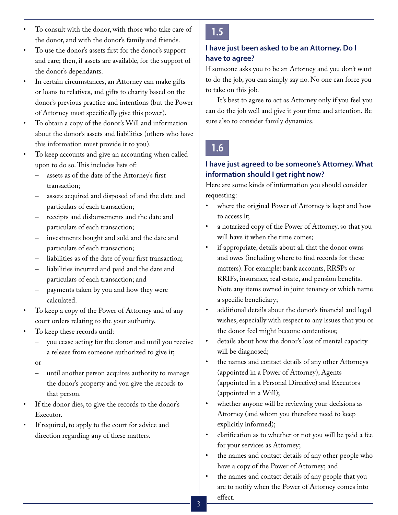- To consult with the donor, with those who take care of the donor, and with the donor's family and friends.
- To use the donor's assets first for the donor's support and care; then, if assets are available, for the support of the donor's dependants.
- In certain circumstances, an Attorney can make gifts or loans to relatives, and gifts to charity based on the donor's previous practice and intentions (but the Power of Attorney must specifically give this power).
- To obtain a copy of the donor's Will and information about the donor's assets and liabilities (others who have this information must provide it to you).
- To keep accounts and give an accounting when called upon to do so. This includes lists of:
	- assets as of the date of the Attorney's first transaction;
	- assets acquired and disposed of and the date and particulars of each transaction;
	- receipts and disbursements and the date and particulars of each transaction;
	- investments bought and sold and the date and particulars of each transaction;
	- liabilities as of the date of your first transaction;
	- liabilities incurred and paid and the date and particulars of each transaction; and
	- payments taken by you and how they were calculated.
- To keep a copy of the Power of Attorney and of any court orders relating to the your authority.
- To keep these records until:
	- you cease acting for the donor and until you receive a release from someone authorized to give it;
	- or
	- until another person acquires authority to manage the donor's property and you give the records to that person.
- If the donor dies, to give the records to the donor's Executor.
- If required, to apply to the court for advice and direction regarding any of these matters.

# **1.5**

## **I have just been asked to be an Attorney. Do I have to agree?**

If someone asks you to be an Attorney and you don't want to do the job, you can simply say no. No one can force you to take on this job.

It's best to agree to act as Attorney only if you feel you can do the job well and give it your time and attention. Be sure also to consider family dynamics.

# **1.6**

## **I have just agreed to be someone's Attorney. What information should I get right now?**

Here are some kinds of information you should consider requesting:

- where the original Power of Attorney is kept and how to access it;
- a notarized copy of the Power of Attorney, so that you will have it when the time comes;
- if appropriate, details about all that the donor owns and owes (including where to find records for these matters). For example: bank accounts, RRSPs or RRIFs, insurance, real estate, and pension benefits. Note any items owned in joint tenancy or which name a specific beneficiary;
- additional details about the donor's financial and legal wishes, especially with respect to any issues that you or the donor feel might become contentious;
- details about how the donor's loss of mental capacity will be diagnosed;
- the names and contact details of any other Attorneys (appointed in a Power of Attorney), Agents (appointed in a Personal Directive) and Executors (appointed in a Will);
- • whether anyone will be reviewing your decisions as Attorney (and whom you therefore need to keep explicitly informed);
- clarification as to whether or not you will be paid a fee for your services as Attorney;
- the names and contact details of any other people who have a copy of the Power of Attorney; and
- the names and contact details of any people that you are to notify when the Power of Attorney comes into effect.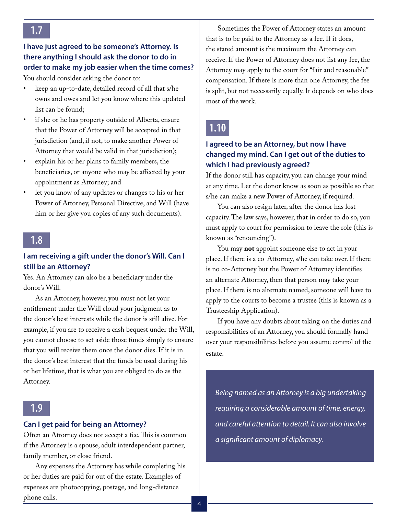# **I have just agreed to be someone's Attorney. Is there anything I should ask the donor to do in order to make my job easier when the time comes?**

You should consider asking the donor to:

- keep an up-to-date, detailed record of all that s/he owns and owes and let you know where this updated list can be found;
- if she or he has property outside of Alberta, ensure that the Power of Attorney will be accepted in that jurisdiction (and, if not, to make another Power of Attorney that would be valid in that jurisdiction);
- explain his or her plans to family members, the beneficiaries, or anyone who may be affected by your appointment as Attorney; and
- let you know of any updates or changes to his or her Power of Attorney, Personal Directive, and Will (have him or her give you copies of any such documents).

# **1.8**

#### **I am receiving a gift under the donor's Will. Can I still be an Attorney?**

Yes. An Attorney can also be a beneficiary under the donor's Will.

As an Attorney, however, you must not let your entitlement under the Will cloud your judgment as to the donor's best interests while the donor is still alive. For example, if you are to receive a cash bequest under the Will, you cannot choose to set aside those funds simply to ensure that you will receive them once the donor dies. If it is in the donor's best interest that the funds be used during his or her lifetime, that is what you are obliged to do as the Attorney.

# **1.9**

#### **Can I get paid for being an Attorney?**

Often an Attorney does not accept a fee. This is common if the Attorney is a spouse, adult interdependent partner, family member, or close friend.

Any expenses the Attorney has while completing his or her duties are paid for out of the estate. Examples of expenses are photocopying, postage, and long-distance phone calls.

Sometimes the Power of Attorney states an amount that is to be paid to the Attorney as a fee. If it does, the stated amount is the maximum the Attorney can receive. If the Power of Attorney does not list any fee, the Attorney may apply to the court for "fair and reasonable" compensation. If there is more than one Attorney, the fee is split, but not necessarily equally. It depends on who does most of the work.

# **1.10**

## **I agreed to be an Attorney, but now I have changed my mind. Can I get out of the duties to which I had previously agreed?**

If the donor still has capacity, you can change your mind at any time. Let the donor know as soon as possible so that s/he can make a new Power of Attorney, if required.

You can also resign later, after the donor has lost capacity. The law says, however, that in order to do so, you must apply to court for permission to leave the role (this is known as "renouncing").

You may **not** appoint someone else to act in your place. If there is a co-Attorney, s/he can take over. If there is no co-Attorney but the Power of Attorney identifies an alternate Attorney, then that person may take your place. If there is no alternate named, someone will have to apply to the courts to become a trustee (this is known as a Trusteeship Application).

If you have any doubts about taking on the duties and responsibilities of an Attorney, you should formally hand over your responsibilities before you assume control of the estate.

*Being named as an Attorney is a big undertaking requiring a considerable amount of time, energy, and careful attention to detail. It can also involve a significant amount of diplomacy.*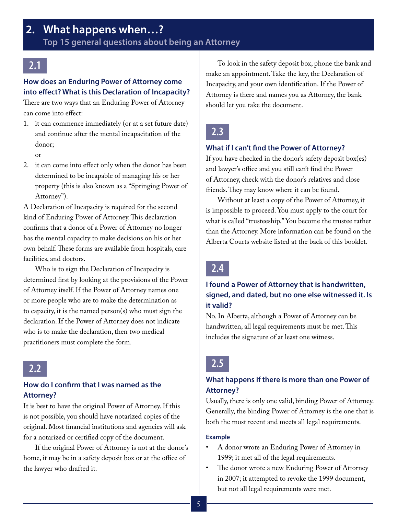# <span id="page-4-0"></span>**2.1**

## **How does an Enduring Power of Attorney come into effect? What is this Declaration of Incapacity?**

There are two ways that an Enduring Power of Attorney can come into effect:

1. it can commence immediately (or at a set future date) and continue after the mental incapacitation of the donor;

or

2. it can come into effect only when the donor has been determined to be incapable of managing his or her property (this is also known as a "Springing Power of Attorney").

A Declaration of Incapacity is required for the second kind of Enduring Power of Attorney. This declaration confirms that a donor of a Power of Attorney no longer has the mental capacity to make decisions on his or her own behalf. These forms are available from hospitals, care facilities, and doctors.

Who is to sign the Declaration of Incapacity is determined first by looking at the provisions of the Power of Attorney itself. If the Power of Attorney names one or more people who are to make the determination as to capacity, it is the named person(s) who must sign the declaration. If the Power of Attorney does not indicate who is to make the declaration, then two medical practitioners must complete the form.



## **How do I confirm that I was named as the Attorney?**

It is best to have the original Power of Attorney. If this is not possible, you should have notarized copies of the original. Most financial institutions and agencies will ask for a notarized or certified copy of the document.

If the original Power of Attorney is not at the donor's home, it may be in a safety deposit box or at the office of the lawyer who drafted it.

To look in the safety deposit box, phone the bank and make an appointment. Take the key, the Declaration of Incapacity, and your own identification. If the Power of Attorney is there and names you as Attorney, the bank should let you take the document.

# **2.3**

## **What if I can't find the Power of Attorney?**

If you have checked in the donor's safety deposit box(es) and lawyer's office and you still can't find the Power of Attorney, check with the donor's relatives and close friends. They may know where it can be found.

Without at least a copy of the Power of Attorney, it is impossible to proceed. You must apply to the court for what is called "trusteeship." You become the trustee rather than the Attorney. More information can be found on the Alberta Courts website listed at the back of this booklet.

# **2.4**

# **I found a Power of Attorney that is handwritten, signed, and dated, but no one else witnessed it. Is it valid?**

No. In Alberta, although a Power of Attorney can be handwritten, all legal requirements must be met. This includes the signature of at least one witness.

# **2.5**

## **What happens if there is more than one Power of Attorney?**

Usually, there is only one valid, binding Power of Attorney. Generally, the binding Power of Attorney is the one that is both the most recent and meets all legal requirements.

#### **Example**

- A donor wrote an Enduring Power of Attorney in 1999; it met all of the legal requirements.
- The donor wrote a new Enduring Power of Attorney in 2007; it attempted to revoke the 1999 document, but not all legal requirements were met.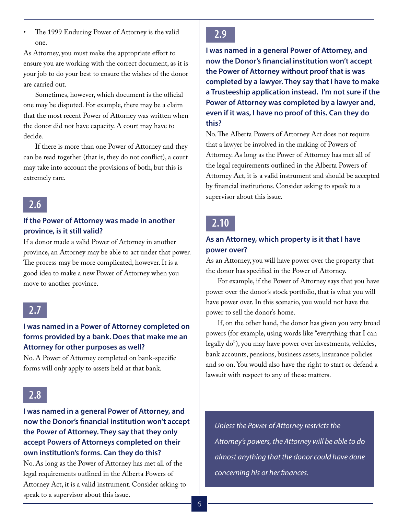The 1999 Enduring Power of Attorney is the valid one.

As Attorney, you must make the appropriate effort to ensure you are working with the correct document, as it is your job to do your best to ensure the wishes of the donor are carried out.

Sometimes, however, which document is the official one may be disputed. For example, there may be a claim that the most recent Power of Attorney was written when the donor did not have capacity. A court may have to decide.

If there is more than one Power of Attorney and they can be read together (that is, they do not conflict), a court may take into account the provisions of both, but this is extremely rare.



## **If the Power of Attorney was made in another province, is it still valid?**

If a donor made a valid Power of Attorney in another province, an Attorney may be able to act under that power. The process may be more complicated, however. It is a good idea to make a new Power of Attorney when you move to another province.

# **2.7**

## **I was named in a Power of Attorney completed on forms provided by a bank. Does that make me an Attorney for other purposes as well?**

No. A Power of Attorney completed on bank-specific forms will only apply to assets held at that bank.

# **2.8**

## **I was named in a general Power of Attorney, and now the Donor's financial institution won't accept the Power of Attorney. They say that they only accept Powers of Attorneys completed on their own institution's forms. Can they do this?**

No. As long as the Power of Attorney has met all of the legal requirements outlined in the Alberta Powers of Attorney Act, it is a valid instrument. Consider asking to speak to a supervisor about this issue.

# **2.9**

**I was named in a general Power of Attorney, and now the Donor's financial institution won't accept the Power of Attorney without proof that is was completed by a lawyer. They say that I have to make a Trusteeship application instead. I'm not sure if the Power of Attorney was completed by a lawyer and, even if it was, I have no proof of this. Can they do this?**

No. The Alberta Powers of Attorney Act does not require that a lawyer be involved in the making of Powers of Attorney. As long as the Power of Attorney has met all of the legal requirements outlined in the Alberta Powers of Attorney Act, it is a valid instrument and should be accepted by financial institutions. Consider asking to speak to a supervisor about this issue.

# **2.10**

## **As an Attorney, which property is it that I have power over?**

As an Attorney, you will have power over the property that the donor has specified in the Power of Attorney.

For example, if the Power of Attorney says that you have power over the donor's stock portfolio, that is what you will have power over. In this scenario, you would not have the power to sell the donor's home.

If, on the other hand, the donor has given you very broad powers (for example, using words like "everything that I can legally do"), you may have power over investments, vehicles, bank accounts, pensions, business assets, insurance policies and so on. You would also have the right to start or defend a lawsuit with respect to any of these matters.

*Unless the Power of Attorney restricts the Attorney's powers, the Attorney will be able to do almost anything that the donor could have done concerning his or her finances.*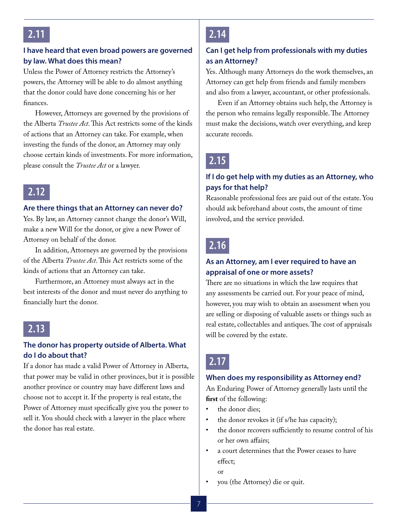## **I have heard that even broad powers are governed by law. What does this mean?**

Unless the Power of Attorney restricts the Attorney's powers, the Attorney will be able to do almost anything that the donor could have done concerning his or her finances.

However, Attorneys are governed by the provisions of the Alberta *Trustee Act*. This Act restricts some of the kinds of actions that an Attorney can take. For example, when investing the funds of the donor, an Attorney may only choose certain kinds of investments. For more information, please consult the *Trustee Act* or a lawyer.

# **2.12**

#### **Are there things that an Attorney can never do?**

Yes. By law, an Attorney cannot change the donor's Will, make a new Will for the donor, or give a new Power of Attorney on behalf of the donor.

In addition, Attorneys are governed by the provisions of the Alberta *Trustee Act*. This Act restricts some of the kinds of actions that an Attorney can take.

Furthermore, an Attorney must always act in the best interests of the donor and must never do anything to financially hurt the donor.

# **2.13**

## **The donor has property outside of Alberta. What do I do about that?**

If a donor has made a valid Power of Attorney in Alberta, that power may be valid in other provinces, but it is possible another province or country may have different laws and choose not to accept it. If the property is real estate, the Power of Attorney must specifically give you the power to sell it. You should check with a lawyer in the place where the donor has real estate.

# **2.14**

## **Can I get help from professionals with my duties as an Attorney?**

Yes. Although many Attorneys do the work themselves, an Attorney can get help from friends and family members and also from a lawyer, accountant, or other professionals.

Even if an Attorney obtains such help, the Attorney is the person who remains legally responsible. The Attorney must make the decisions, watch over everything, and keep accurate records.

# **2.15**

## **If I do get help with my duties as an Attorney, who pays for that help?**

Reasonable professional fees are paid out of the estate. You should ask beforehand about costs, the amount of time involved, and the service provided.

# **2.16**

## **As an Attorney, am I ever required to have an appraisal of one or more assets?**

There are no situations in which the law requires that any assessments be carried out. For your peace of mind, however, you may wish to obtain an assessment when you are selling or disposing of valuable assets or things such as real estate, collectables and antiques. The cost of appraisals will be covered by the estate.

# **2.17**

#### **When does my responsibility as Attorney end?**

An Enduring Power of Attorney generally lasts until the **first** of the following:

- the donor dies:
- the donor revokes it (if s/he has capacity);
- the donor recovers sufficiently to resume control of his or her own affairs;
- a court determines that the Power ceases to have effect;
- or
- you (the Attorney) die or quit.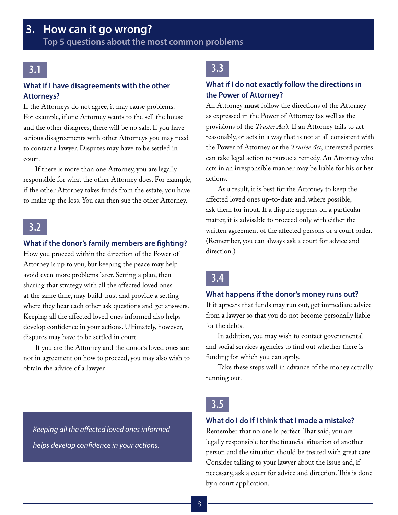# <span id="page-7-0"></span>**3. How can it go wrong?**

**Top 5 questions about the most common problems**

## **3.1**

#### **What if I have disagreements with the other Attorneys?**

If the Attorneys do not agree, it may cause problems. For example, if one Attorney wants to the sell the house and the other disagrees, there will be no sale. If you have serious disagreements with other Attorneys you may need to contact a lawyer. Disputes may have to be settled in court.

If there is more than one Attorney, you are legally responsible for what the other Attorney does. For example, if the other Attorney takes funds from the estate, you have to make up the loss. You can then sue the other Attorney.

# **3.2**

#### **What if the donor's family members are fighting?**

How you proceed within the direction of the Power of Attorney is up to you, but keeping the peace may help avoid even more problems later. Setting a plan, then sharing that strategy with all the affected loved ones at the same time, may build trust and provide a setting where they hear each other ask questions and get answers. Keeping all the affected loved ones informed also helps develop confidence in your actions. Ultimately, however, disputes may have to be settled in court.

If you are the Attorney and the donor's loved ones are not in agreement on how to proceed, you may also wish to obtain the advice of a lawyer.

*Keeping all the affected loved ones informed helps develop confidence in your actions.*

# **3.3**

#### **What if I do not exactly follow the directions in the Power of Attorney?**

An Attorney **must** follow the directions of the Attorney as expressed in the Power of Attorney (as well as the provisions of the *Trustee Act*)*.* If an Attorney fails to act reasonably, or acts in a way that is not at all consistent with the Power of Attorney or the *Trustee Act*, interested parties can take legal action to pursue a remedy. An Attorney who acts in an irresponsible manner may be liable for his or her actions.

As a result, it is best for the Attorney to keep the affected loved ones up-to-date and, where possible, ask them for input. If a dispute appears on a particular matter, it is advisable to proceed only with either the written agreement of the affected persons or a court order. (Remember, you can always ask a court for advice and direction.)

# **3.4**

#### **What happens if the donor's money runs out?**

If it appears that funds may run out, get immediate advice from a lawyer so that you do not become personally liable for the debts.

In addition, you may wish to contact governmental and social services agencies to find out whether there is funding for which you can apply.

Take these steps well in advance of the money actually running out.

# **3.5**

#### **What do I do if I think that I made a mistake?**

Remember that no one is perfect. That said, you are legally responsible for the financial situation of another person and the situation should be treated with great care. Consider talking to your lawyer about the issue and, if necessary, ask a court for advice and direction. This is done by a court application.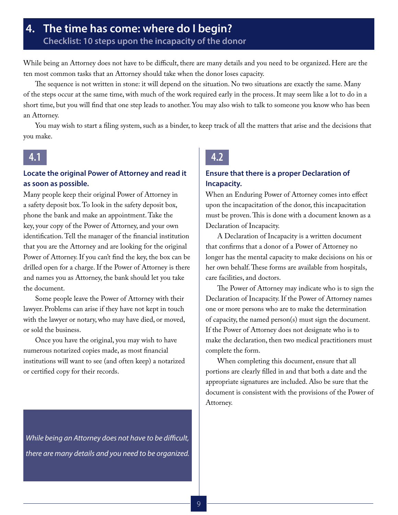# <span id="page-8-0"></span>**4. The time has come: where do I begin? Checklist: 10 steps upon the incapacity of the donor**

While being an Attorney does not have to be difficult, there are many details and you need to be organized. Here are the ten most common tasks that an Attorney should take when the donor loses capacity.

The sequence is not written in stone: it will depend on the situation. No two situations are exactly the same. Many of the steps occur at the same time, with much of the work required early in the process. It may seem like a lot to do in a short time, but you will find that one step leads to another. You may also wish to talk to someone you know who has been an Attorney.

You may wish to start a filing system, such as a binder, to keep track of all the matters that arise and the decisions that you make.

## **4.1**

## **Locate the original Power of Attorney and read it as soon as possible.**

Many people keep their original Power of Attorney in a safety deposit box. To look in the safety deposit box, phone the bank and make an appointment. Take the key, your copy of the Power of Attorney, and your own identification. Tell the manager of the financial institution that you are the Attorney and are looking for the original Power of Attorney. If you can't find the key, the box can be drilled open for a charge. If the Power of Attorney is there and names you as Attorney, the bank should let you take the document.

Some people leave the Power of Attorney with their lawyer. Problems can arise if they have not kept in touch with the lawyer or notary, who may have died, or moved, or sold the business.

Once you have the original, you may wish to have numerous notarized copies made, as most financial institutions will want to see (and often keep) a notarized or certified copy for their records.

*While being an Attorney does not have to be difficult, there are many details and you need to be organized.* 

# **4.2**

#### **Ensure that there is a proper Declaration of Incapacity.**

When an Enduring Power of Attorney comes into effect upon the incapacitation of the donor, this incapacitation must be proven. This is done with a document known as a Declaration of Incapacity.

A Declaration of Incapacity is a written document that confirms that a donor of a Power of Attorney no longer has the mental capacity to make decisions on his or her own behalf. These forms are available from hospitals, care facilities, and doctors.

The Power of Attorney may indicate who is to sign the Declaration of Incapacity. If the Power of Attorney names one or more persons who are to make the determination of capacity, the named person(s) must sign the document. If the Power of Attorney does not designate who is to make the declaration, then two medical practitioners must complete the form.

When completing this document, ensure that all portions are clearly filled in and that both a date and the appropriate signatures are included. Also be sure that the document is consistent with the provisions of the Power of Attorney.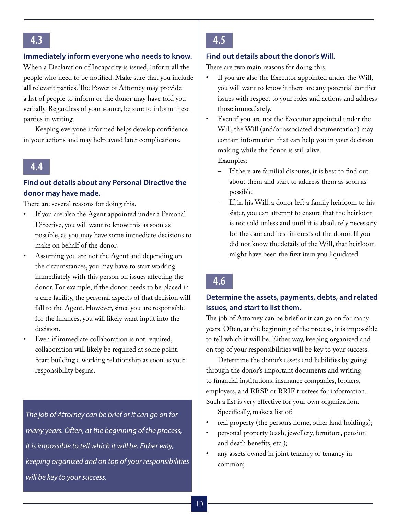#### **Immediately inform everyone who needs to know.**

When a Declaration of Incapacity is issued, inform all the people who need to be notified. Make sure that you include **all** relevant parties. The Power of Attorney may provide a list of people to inform or the donor may have told you verbally. Regardless of your source, be sure to inform these parties in writing.

Keeping everyone informed helps develop confidence in your actions and may help avoid later complications.

## **4.4**

#### **Find out details about any Personal Directive the donor may have made.**

There are several reasons for doing this.

- If you are also the Agent appointed under a Personal Directive, you will want to know this as soon as possible, as you may have some immediate decisions to make on behalf of the donor.
- Assuming you are not the Agent and depending on the circumstances, you may have to start working immediately with this person on issues affecting the donor. For example, if the donor needs to be placed in a care facility, the personal aspects of that decision will fall to the Agent. However, since you are responsible for the finances, you will likely want input into the decision.
	- Even if immediate collaboration is not required, collaboration will likely be required at some point. Start building a working relationship as soon as your responsibility begins.

*The job of Attorney can be brief or it can go on for many years. Often, at the beginning of the process, it is impossible to tell which it will be. Either way, keeping organized and on top of your responsibilities will be key to your success.*

## **4.5**

#### **Find out details about the donor's Will.**

There are two main reasons for doing this.

- If you are also the Executor appointed under the Will, you will want to know if there are any potential conflict issues with respect to your roles and actions and address those immediately.
- Even if you are not the Executor appointed under the Will, the Will (and/or associated documentation) may contain information that can help you in your decision making while the donor is still alive. Examples:
	- If there are familial disputes, it is best to find out about them and start to address them as soon as possible.
	- If, in his Will, a donor left a family heirloom to his sister, you can attempt to ensure that the heirloom is not sold unless and until it is absolutely necessary for the care and best interests of the donor. If you did not know the details of the Will, that heirloom might have been the first item you liquidated.

# **4.6**

## **Determine the assets, payments, debts, and related issues, and start to list them.**

The job of Attorney can be brief or it can go on for many years. Often, at the beginning of the process, it is impossible to tell which it will be. Either way, keeping organized and on top of your responsibilities will be key to your success.

Determine the donor's assets and liabilities by going through the donor's important documents and writing to financial institutions, insurance companies, brokers, employers, and RRSP or RRIF trustees for information. Such a list is very effective for your own organization.

Specifically, make a list of:

- real property (the person's home, other land holdings);
- personal property (cash, jewellery, furniture, pension and death benefits, etc.);
- any assets owned in joint tenancy or tenancy in common;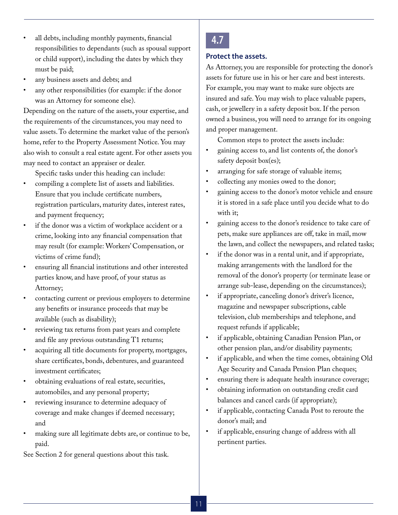- all debts, including monthly payments, financial responsibilities to dependants (such as spousal support or child support), including the dates by which they must be paid;
- any business assets and debts; and
- any other responsibilities (for example: if the donor was an Attorney for someone else).

Depending on the nature of the assets, your expertise, and the requirements of the circumstances, you may need to value assets. To determine the market value of the person's home, refer to the Property Assessment Notice. You may also wish to consult a real estate agent. For other assets you may need to contact an appraiser or dealer.

Specific tasks under this heading can include:

- compiling a complete list of assets and liabilities. Ensure that you include certificate numbers, registration particulars, maturity dates, interest rates, and payment frequency;
- if the donor was a victim of workplace accident or a crime, looking into any financial compensation that may result (for example: Workers' Compensation, or victims of crime fund);
- ensuring all financial institutions and other interested parties know, and have proof, of your status as Attorney;
- contacting current or previous employers to determine any benefits or insurance proceeds that may be available (such as disability);
- reviewing tax returns from past years and complete and file any previous outstanding T1 returns;
- acquiring all title documents for property, mortgages, share certificates, bonds, debentures, and guaranteed investment certificates;
- obtaining evaluations of real estate, securities, automobiles, and any personal property;
- reviewing insurance to determine adequacy of coverage and make changes if deemed necessary; and
- making sure all legitimate debts are, or continue to be, paid.

See Section 2 for general questions about this task.

# **4.7**

#### **Protect the assets.**

As Attorney, you are responsible for protecting the donor's assets for future use in his or her care and best interests. For example, you may want to make sure objects are insured and safe. You may wish to place valuable papers, cash, or jewellery in a safety deposit box. If the person owned a business, you will need to arrange for its ongoing and proper management.

Common steps to protect the assets include:

- gaining access to, and list contents of, the donor's safety deposit box(es);
- arranging for safe storage of valuable items;
- collecting any monies owed to the donor;
- gaining access to the donor's motor vehicle and ensure it is stored in a safe place until you decide what to do with it;
- gaining access to the donor's residence to take care of pets, make sure appliances are off, take in mail, mow the lawn, and collect the newspapers, and related tasks;
- if the donor was in a rental unit, and if appropriate, making arrangements with the landlord for the removal of the donor's property (or terminate lease or arrange sub-lease, depending on the circumstances);
- if appropriate, canceling donor's driver's licence, magazine and newspaper subscriptions, cable television, club memberships and telephone, and request refunds if applicable;
- if applicable, obtaining Canadian Pension Plan, or other pension plan, and/or disability payments;
- if applicable, and when the time comes, obtaining Old Age Security and Canada Pension Plan cheques;
- ensuring there is adequate health insurance coverage;
- obtaining information on outstanding credit card balances and cancel cards (if appropriate);
- if applicable, contacting Canada Post to reroute the donor's mail; and
- if applicable, ensuring change of address with all pertinent parties.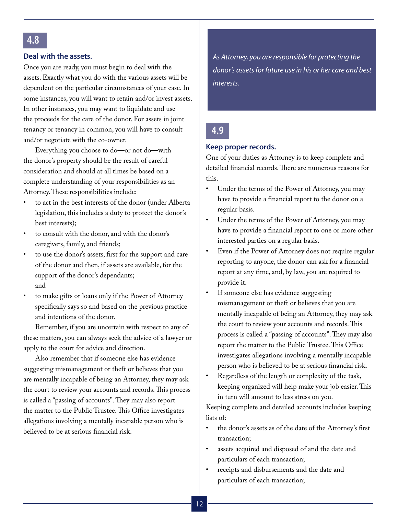## **4.8**

#### **Deal with the assets.**

Once you are ready, you must begin to deal with the assets. Exactly what you do with the various assets will be dependent on the particular circumstances of your case. In some instances, you will want to retain and/or invest assets. In other instances, you may want to liquidate and use the proceeds for the care of the donor. For assets in joint tenancy or tenancy in common, you will have to consult and/or negotiate with the co-owner.

Everything you choose to do—or not do—with the donor's property should be the result of careful consideration and should at all times be based on a complete understanding of your responsibilities as an Attorney. These responsibilities include:

- to act in the best interests of the donor (under Alberta legislation, this includes a duty to protect the donor's best interests);
- to consult with the donor, and with the donor's caregivers, family, and friends;
- to use the donor's assets, first for the support and care of the donor and then, if assets are available, for the support of the donor's dependants; and
- to make gifts or loans only if the Power of Attorney specifically says so and based on the previous practice and intentions of the donor.

Remember, if you are uncertain with respect to any of these matters, you can always seek the advice of a lawyer or apply to the court for advice and direction.

Also remember that if someone else has evidence suggesting mismanagement or theft or believes that you are mentally incapable of being an Attorney, they may ask the court to review your accounts and records. This process is called a "passing of accounts". They may also report the matter to the Public Trustee. This Office investigates allegations involving a mentally incapable person who is believed to be at serious financial risk.

*As Attorney, you are responsible for protecting the donor's assets for future use in his or her care and best interests.* 

## **4.9**

#### **Keep proper records.**

One of your duties as Attorney is to keep complete and detailed financial records. There are numerous reasons for this.

- Under the terms of the Power of Attorney, you may have to provide a financial report to the donor on a regular basis.
- Under the terms of the Power of Attorney, you may have to provide a financial report to one or more other interested parties on a regular basis.
- Even if the Power of Attorney does not require regular reporting to anyone, the donor can ask for a financial report at any time, and, by law, you are required to provide it.
- If someone else has evidence suggesting mismanagement or theft or believes that you are mentally incapable of being an Attorney, they may ask the court to review your accounts and records. This process is called a "passing of accounts". They may also report the matter to the Public Trustee. This Office investigates allegations involving a mentally incapable person who is believed to be at serious financial risk.
- Regardless of the length or complexity of the task, keeping organized will help make your job easier. This in turn will amount to less stress on you.

Keeping complete and detailed accounts includes keeping lists of:

- the donor's assets as of the date of the Attorney's first transaction;
- assets acquired and disposed of and the date and particulars of each transaction;
- receipts and disbursements and the date and particulars of each transaction;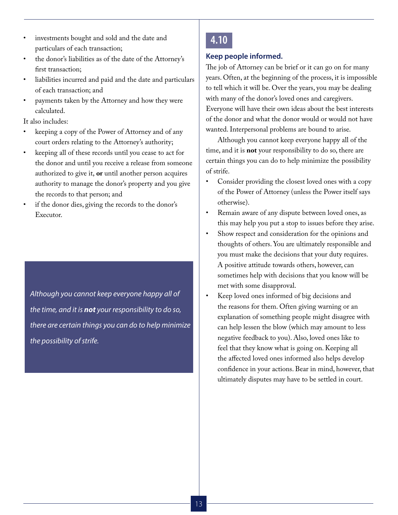- investments bought and sold and the date and particulars of each transaction;
- the donor's liabilities as of the date of the Attorney's first transaction;
- liabilities incurred and paid and the date and particulars of each transaction; and
- payments taken by the Attorney and how they were calculated.

It also includes:

- keeping a copy of the Power of Attorney and of any court orders relating to the Attorney's authority;
- keeping all of these records until you cease to act for the donor and until you receive a release from someone authorized to give it, **or** until another person acquires authority to manage the donor's property and you give the records to that person; and
- if the donor dies, giving the records to the donor's Executor.

*Although you cannot keep everyone happy all of the time, and it is not your responsibility to do so, there are certain things you can do to help minimize the possibility of strife.*

# **4.10**

#### **Keep people informed.**

The job of Attorney can be brief or it can go on for many years. Often, at the beginning of the process, it is impossible to tell which it will be. Over the years, you may be dealing with many of the donor's loved ones and caregivers. Everyone will have their own ideas about the best interests of the donor and what the donor would or would not have wanted. Interpersonal problems are bound to arise.

Although you cannot keep everyone happy all of the time, and it is **not** your responsibility to do so, there are certain things you can do to help minimize the possibility of strife.

- Consider providing the closest loved ones with a copy of the Power of Attorney (unless the Power itself says otherwise).
- Remain aware of any dispute between loved ones, as this may help you put a stop to issues before they arise.
- Show respect and consideration for the opinions and thoughts of others. You are ultimately responsible and you must make the decisions that your duty requires. A positive attitude towards others, however, can sometimes help with decisions that you know will be met with some disapproval.
- Keep loved ones informed of big decisions and the reasons for them. Often giving warning or an explanation of something people might disagree with can help lessen the blow (which may amount to less negative feedback to you). Also, loved ones like to feel that they know what is going on. Keeping all the affected loved ones informed also helps develop confidence in your actions. Bear in mind, however, that ultimately disputes may have to be settled in court.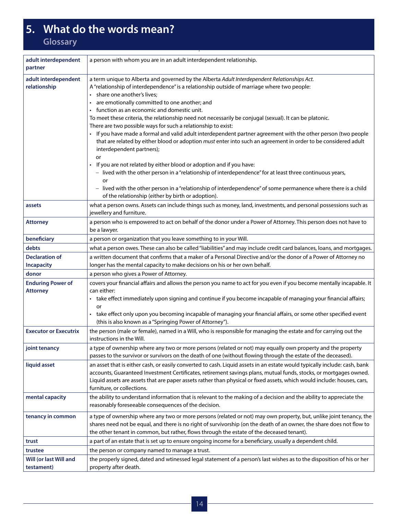# <span id="page-13-0"></span>**5. What do the words mean?**

**Glossary**

| adult interdependent<br>partner             | a person with whom you are in an adult interdependent relationship.                                                                                                                                                                                                                                                                                                                                                                                                                                                                                                                                                                                                                                                                                                                                                                                                                                                                                                                                                                                                                                                                                      |
|---------------------------------------------|----------------------------------------------------------------------------------------------------------------------------------------------------------------------------------------------------------------------------------------------------------------------------------------------------------------------------------------------------------------------------------------------------------------------------------------------------------------------------------------------------------------------------------------------------------------------------------------------------------------------------------------------------------------------------------------------------------------------------------------------------------------------------------------------------------------------------------------------------------------------------------------------------------------------------------------------------------------------------------------------------------------------------------------------------------------------------------------------------------------------------------------------------------|
| adult interdependent<br>relationship        | a term unique to Alberta and governed by the Alberta Adult Interdependent Relationships Act.<br>A "relationship of interdependence" is a relationship outside of marriage where two people:<br>share one another's lives;<br>$\bullet$<br>are emotionally committed to one another; and<br>function as an economic and domestic unit.<br>To meet these criteria, the relationship need not necessarily be conjugal (sexual). It can be platonic.<br>There are two possible ways for such a relationship to exist:<br>If you have made a formal and valid adult interdependent partner agreement with the other person (two people<br>that are related by either blood or adoption must enter into such an agreement in order to be considered adult<br>interdependent partners);<br>or<br>If you are not related by either blood or adoption and if you have:<br>- lived with the other person in a "relationship of interdependence" for at least three continuous years,<br>or<br>- lived with the other person in a "relationship of interdependence" of some permanence where there is a child<br>of the relationship (either by birth or adoption). |
| assets                                      | what a person owns. Assets can include things such as money, land, investments, and personal possessions such as<br>jewellery and furniture.                                                                                                                                                                                                                                                                                                                                                                                                                                                                                                                                                                                                                                                                                                                                                                                                                                                                                                                                                                                                             |
| <b>Attorney</b>                             | a person who is empowered to act on behalf of the donor under a Power of Attorney. This person does not have to<br>be a lawyer.                                                                                                                                                                                                                                                                                                                                                                                                                                                                                                                                                                                                                                                                                                                                                                                                                                                                                                                                                                                                                          |
| beneficiary                                 | a person or organization that you leave something to in your Will.                                                                                                                                                                                                                                                                                                                                                                                                                                                                                                                                                                                                                                                                                                                                                                                                                                                                                                                                                                                                                                                                                       |
| debts                                       | what a person owes. These can also be called "liabilities" and may include credit card balances, loans, and mortgages.                                                                                                                                                                                                                                                                                                                                                                                                                                                                                                                                                                                                                                                                                                                                                                                                                                                                                                                                                                                                                                   |
| <b>Declaration of</b><br><b>Incapacity</b>  | a written document that confirms that a maker of a Personal Directive and/or the donor of a Power of Attorney no<br>longer has the mental capacity to make decisions on his or her own behalf.                                                                                                                                                                                                                                                                                                                                                                                                                                                                                                                                                                                                                                                                                                                                                                                                                                                                                                                                                           |
| donor                                       | a person who gives a Power of Attorney.                                                                                                                                                                                                                                                                                                                                                                                                                                                                                                                                                                                                                                                                                                                                                                                                                                                                                                                                                                                                                                                                                                                  |
| <b>Enduring Power of</b><br><b>Attorney</b> | covers your financial affairs and allows the person you name to act for you even if you become mentally incapable. It<br>can either:<br>take effect immediately upon signing and continue if you become incapable of managing your financial affairs;<br>or<br>take effect only upon you becoming incapable of managing your financial affairs, or some other specified event<br>(this is also known as a "Springing Power of Attorney").                                                                                                                                                                                                                                                                                                                                                                                                                                                                                                                                                                                                                                                                                                                |
| <b>Executor or Executrix</b>                | the person (male or female), named in a Will, who is responsible for managing the estate and for carrying out the<br>instructions in the Will.                                                                                                                                                                                                                                                                                                                                                                                                                                                                                                                                                                                                                                                                                                                                                                                                                                                                                                                                                                                                           |
| joint tenancy                               | a type of ownership where any two or more persons (related or not) may equally own property and the property<br>passes to the survivor or survivors on the death of one (without flowing through the estate of the deceased).                                                                                                                                                                                                                                                                                                                                                                                                                                                                                                                                                                                                                                                                                                                                                                                                                                                                                                                            |
| liquid asset                                | an asset that is either cash, or easily converted to cash. Liquid assets in an estate would typically include: cash, bank<br>accounts, Guaranteed Investment Certificates, retirement savings plans, mutual funds, stocks, or mortgages owned.<br>Liquid assets are assets that are paper assets rather than physical or fixed assets, which would include: houses, cars,<br>furniture, or collections.                                                                                                                                                                                                                                                                                                                                                                                                                                                                                                                                                                                                                                                                                                                                                  |
| mental capacity                             | the ability to understand information that is relevant to the making of a decision and the ability to appreciate the<br>reasonably foreseeable consequences of the decision.                                                                                                                                                                                                                                                                                                                                                                                                                                                                                                                                                                                                                                                                                                                                                                                                                                                                                                                                                                             |
| tenancy in common                           | a type of ownership where any two or more persons (related or not) may own property, but, unlike joint tenancy, the<br>shares need not be equal, and there is no right of survivorship (on the death of an owner, the share does not flow to<br>the other tenant in common, but rather, flows through the estate of the deceased tenant).                                                                                                                                                                                                                                                                                                                                                                                                                                                                                                                                                                                                                                                                                                                                                                                                                |
| trust                                       | a part of an estate that is set up to ensure ongoing income for a beneficiary, usually a dependent child.                                                                                                                                                                                                                                                                                                                                                                                                                                                                                                                                                                                                                                                                                                                                                                                                                                                                                                                                                                                                                                                |
| trustee                                     | the person or company named to manage a trust.                                                                                                                                                                                                                                                                                                                                                                                                                                                                                                                                                                                                                                                                                                                                                                                                                                                                                                                                                                                                                                                                                                           |
| Will (or last Will and<br>testament)        | the properly signed, dated and wtinessed legal statement of a person's last wishes as to the disposition of his or her<br>property after death.                                                                                                                                                                                                                                                                                                                                                                                                                                                                                                                                                                                                                                                                                                                                                                                                                                                                                                                                                                                                          |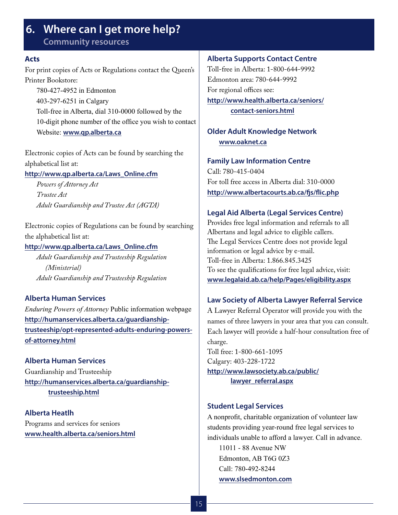# <span id="page-14-0"></span>**6. Where can I get more help?**

**Community resources**

#### **Acts**

For print copies of Acts or Regulations contact the Queen's Printer Bookstore:

780-427-4952 in Edmonton 403-297-6251 in Calgary Toll-free in Alberta, dial 310-0000 followed by the 10-digit phone number of the office you wish to contact Website: **www.qp.alberta.ca**

Electronic copies of Acts can be found by searching the alphabetical list at:

**http://www.qp.alberta.ca/Laws\_Online.cfm**

*Powers of Attorney Act Trustee Act Adult Guardianship and Trustee Act (AGTA)*

Electronic copies of Regulations can be found by searching the alphabetical list at:

#### **http://www.qp.alberta.ca/Laws\_Online.cfm**

*Adult Guardianship and Trusteeship Regulation (Ministerial) Adult Guardianship and Trusteeship Regulation* 

#### **Alberta Human Services**

*Enduring Powers of Attorney* Public information webpage **http://humanservices.alberta.ca/guardianshiptrusteeship/opt-represented-adults-enduring-powersof-attorney.html**

**Alberta Human Services** Guardianship and Trusteeship **[http://humanservices.alberta.ca/guardianship](http://humanservices.alberta.ca/guardianship-%0Dtrusteeship.html)[trusteeship.html](http://humanservices.alberta.ca/guardianship-%0Dtrusteeship.html)**

**Alberta Heatlh** Programs and services for seniors **www.health.alberta.ca/seniors.html**

#### **Alberta Supports Contact Centre**

Toll-free in Alberta: 1-800-644-9992 Edmonton area: 780-644-9992 For regional offices see: **[http://www.health.alberta.ca/seniors/](http://www.health.alberta.ca/seniors/%0Dcontact-seniors.html)**

**[contact-seniors.html](http://www.health.alberta.ca/seniors/%0Dcontact-seniors.html)**

## **Older Adult Knowledge Network www.oaknet.ca**

#### **Family Law Information Centre**

Call: 780-415-0404 For toll free access in Alberta dial: 310-0000 **http://www.albertacourts.ab.ca/fjs/flic.php**

#### **Legal Aid Alberta (Legal Services Centre)**

Provides free legal information and referrals to all Albertans and legal advice to eligible callers. The Legal Services Centre does not provide legal information or legal advice by e-mail. Toll-free in Alberta: 1.866.845.3425 To see the qualifications for free legal advice, visit: **www.legalaid.ab.ca/help/Pages/eligibility.aspx**

#### **Law Society of Alberta Lawyer Referral Service**

A Lawyer Referral Operator will provide you with the names of three lawyers in your area that you can consult. Each lawyer will provide a half-hour consultation free of charge.

Toll free: 1-800-661-1095 Calgary: 403-228-1722 **[http://www.lawsociety.ab.ca/public/](http://www.lawsociety.ab.ca/public/%0Dlawyer_referral.aspx) [lawyer\\_referral.aspx](http://www.lawsociety.ab.ca/public/%0Dlawyer_referral.aspx)**

#### **Student Legal Services**

A nonprofit, charitable organization of volunteer law students providing year-round free legal services to individuals unable to afford a lawyer. Call in advance.

11011 - 88 Avenue NW Edmonton, AB T6G 0Z3 Call: 780-492-8244 **www.slsedmonton.com**